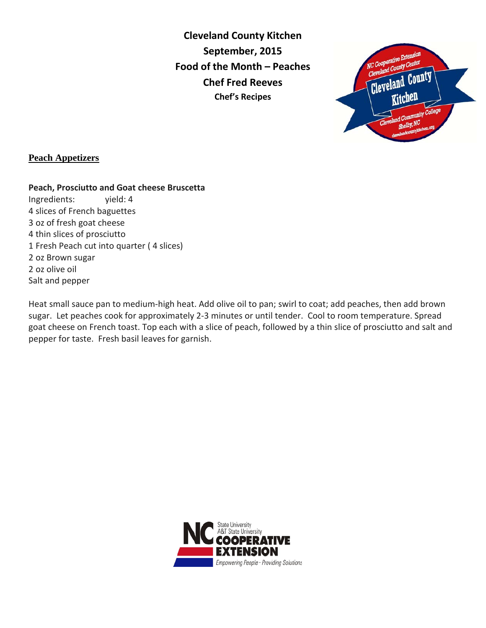**Cleveland County Kitchen September, 2015 Food of the Month – Peaches Chef Fred Reeves Chef's Recipes**



## **Peach Appetizers**

## **Peach, Prosciutto and Goat cheese Bruscetta**

Ingredients: yield: 4 4 slices of French baguettes 3 oz of fresh goat cheese 4 thin slices of prosciutto 1 Fresh Peach cut into quarter ( 4 slices) 2 oz Brown sugar 2 oz olive oil Salt and pepper

Heat small sauce pan to medium-high heat. Add olive oil to pan; swirl to coat; add peaches, then add brown sugar. Let peaches cook for approximately 2-3 minutes or until tender. Cool to room temperature. Spread goat cheese on French toast. Top each with a slice of peach, followed by a thin slice of prosciutto and salt and pepper for taste. Fresh basil leaves for garnish.